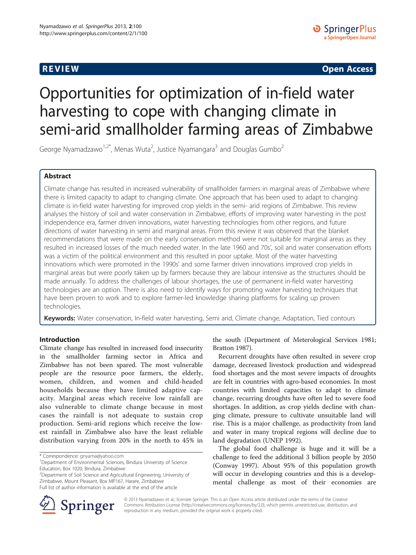**REVIEW REVIEW CONSTRUCTER CONSTRUCTION** 

# Opportunities for optimization of in-field water harvesting to cope with changing climate in semi-arid smallholder farming areas of Zimbabwe

George Nyamadzawo<sup>1,2\*</sup>, Menas Wuta<sup>2</sup>, Justice Nyamangara<sup>3</sup> and Douglas Gumbo<sup>2</sup>

# Abstract

Climate change has resulted in increased vulnerability of smallholder farmers in marginal areas of Zimbabwe where there is limited capacity to adapt to changing climate. One approach that has been used to adapt to changing climate is in-field water harvesting for improved crop yields in the semi- arid regions of Zimbabwe. This review analyses the history of soil and water conservation in Zimbabwe, efforts of improving water harvesting in the post independence era, farmer driven innovations, water harvesting technologies from other regions, and future directions of water harvesting in semi arid marginal areas. From this review it was observed that the blanket recommendations that were made on the early conservation method were not suitable for marginal areas as they resulted in increased losses of the much needed water. In the late 1960 and 70s', soil and water conservation efforts was a victim of the political environment and this resulted in poor uptake. Most of the water harvesting innovations which were promoted in the 1990s' and some farmer driven innovations improved crop yields in marginal areas but were poorly taken up by farmers because they are labour intensive as the structures should be made annually. To address the challenges of labour shortages, the use of permanent in-field water harvesting technologies are an option. There is also need to identify ways for promoting water harvesting techniques that have been proven to work and to explore farmer-led knowledge sharing platforms for scaling up proven technologies.

Keywords: Water conservation, In-field water harvesting, Semi arid, Climate change, Adaptation, Tied contours

# Introduction

Climate change has resulted in increased food insecurity in the smallholder farming sector in Africa and Zimbabwe has not been spared. The most vulnerable people are the resource poor farmers, the elderly, women, children, and women and child-headed households because they have limited adaptive capacity. Marginal areas which receive low rainfall are also vulnerable to climate change because in most cases the rainfall is not adequate to sustain crop production. Semi-arid regions which receive the lowest rainfall in Zimbabwe also have the least reliable distribution varying from 20% in the north to 45% in

<sup>2</sup>Department of Soil Science and Agricultural Engineering, University of Zimbabwe, Mount Pleasant, Box MP167, Harare, Zimbabwe Full list of author information is available at the end of the article

the south (Department of Meterological Services [1981](#page-7-0); Bratton [1987\)](#page-7-0).

Recurrent droughts have often resulted in severe crop damage, decreased livestock production and widespread food shortages and the most severe impacts of droughts are felt in countries with agro-based economies. In most countries with limited capacities to adapt to climate change, recurring droughts have often led to severe food shortages. In addition, as crop yields decline with changing climate, pressure to cultivate unsuitable land will rise. This is a major challenge, as productivity from land and water in many tropical regions will decline due to land degradation (UNEP [1992\)](#page-8-0).

The global food challenge is huge and it will be a challenge to feed the additional 3 billion people by 2050 (Conway [1997](#page-7-0)). About 95% of this population growth will occur in developing countries and this is a developmental challenge as most of their economies are



© 2013 Nyamadzawo et al.; licensee Springer. This is an Open Access article distributed under the terms of the Creative Commons Attribution License (<http://creativecommons.org/licenses/by/2.0>), which permits unrestricted use, distribution, and reproduction in any medium, provided the original work is properly cited.

<sup>\*</sup> Correspondence: [gnyama@yahoo.com](mailto:gnyama@yahoo.com) <sup>1</sup>

<sup>&</sup>lt;sup>1</sup>Department of Environmental Sciences, Bindura University of Science Education, Box 1020, Bindura, Zimbabwe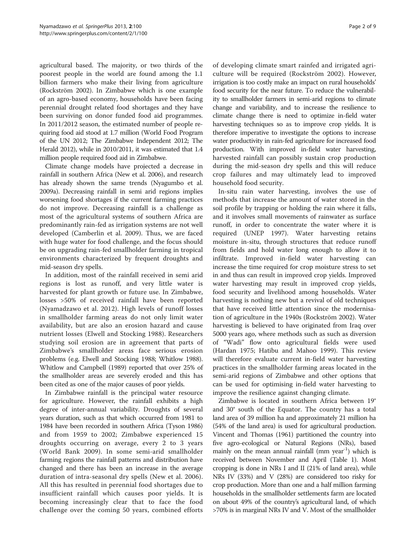agricultural based. The majority, or two thirds of the poorest people in the world are found among the 1.1 billion farmers who make their living from agriculture (Rockström [2002](#page-8-0)). In Zimbabwe which is one example of an agro-based economy, households have been facing perennial drought related food shortages and they have been surviving on donor funded food aid programmes. In 2011/2012 season, the estimated number of people requiring food aid stood at 1.7 million (World Food Program of the UN [2012](#page-8-0); The Zimbabwe Independent [2012](#page-8-0); The Herald [2012](#page-8-0)), while in 2010/2011, it was estimated that 1.4 million people required food aid in Zimbabwe.

Climate change models have projected a decrease in rainfall in southern Africa (New et al. [2006\)](#page-7-0), and research has already shown the same trends (Nyagumbo et al. [2009a](#page-8-0)). Decreasing rainfall in semi arid regions implies worsening food shortages if the current farming practices do not improve. Decreasing rainfall is a challenge as most of the agricultural systems of southern Africa are predominantly rain-fed as irrigation systems are not well developed (Camberlin et al. [2009\)](#page-7-0). Thus, we are faced with huge water for food challenge, and the focus should be on upgrading rain-fed smallholder farming in tropical environments characterized by frequent droughts and mid-season dry spells.

In addition, most of the rainfall received in semi arid regions is lost as runoff, and very little water is harvested for plant growth or future use. In Zimbabwe, losses >50% of received rainfall have been reported (Nyamadzawo et al. [2012\)](#page-8-0). High levels of runoff losses in smallholder farming areas do not only limit water availability, but are also an erosion hazard and cause nutrient losses (Elwell and Stocking [1988\)](#page-7-0). Researchers studying soil erosion are in agreement that parts of Zimbabwe's smallholder areas face serious erosion problems (e.g. Elwell and Stocking [1988;](#page-7-0) Whitlow [1988](#page-8-0)). Whitlow and Campbell ([1989\)](#page-8-0) reported that over 25% of the smallholder areas are severely eroded and this has been cited as one of the major causes of poor yields.

In Zimbabwe rainfall is the principal water resource for agriculture. However, the rainfall exhibits a high degree of inter-annual variability. Droughts of several years duration, such as that which occurred from 1981 to 1984 have been recorded in southern Africa (Tyson [1986](#page-8-0)) and from 1959 to 2002; Zimbabwe experienced 15 droughts occurring on average, every 2 to 3 years (World Bank [2009\)](#page-8-0). In some semi-arid smallholder farming regions the rainfall patterns and distribution have changed and there has been an increase in the average duration of intra-seasonal dry spells (New et al. [2006](#page-7-0)). All this has resulted in perennial food shortages due to insufficient rainfall which causes poor yields. It is becoming increasingly clear that to face the food challenge over the coming 50 years, combined efforts

of developing climate smart rainfed and irrigated agriculture will be required (Rockström [2002\)](#page-8-0). However, irrigation is too costly make an impact on rural households' food security for the near future. To reduce the vulnerability to smallholder farmers in semi-arid regions to climate change and variability, and to increase the resilience to climate change there is need to optimize in-field water harvesting techniques so as to improve crop yields. It is therefore imperative to investigate the options to increase water productivity in rain-fed agriculture for increased food production. With improved in-field water harvesting, harvested rainfall can possibly sustain crop production during the mid-season dry spells and this will reduce crop failures and may ultimately lead to improved household food security.

In-situ rain water harvesting, involves the use of methods that increase the amount of water stored in the soil profile by trapping or holding the rain where it falls, and it involves small movements of rainwater as surface runoff, in order to concentrate the water where it is required (UNEP [1997\)](#page-8-0). Water harvesting retains moisture in-situ, through structures that reduce runoff from fields and hold water long enough to allow it to infiltrate. Improved in-field water harvesting can increase the time required for crop moisture stress to set in and thus can result in improved crop yields. Improved water harvesting may result in improved crop yields, food security and livelihood among households. Water harvesting is nothing new but a revival of old techniques that have received little attention since the modernisation of agriculture in the 1940s (Rockström [2002\)](#page-8-0). Water harvesting is believed to have originated from Iraq over 5000 years ago, where methods such as such as diversion of "Wadi" flow onto agricultural fields were used (Hardan [1975](#page-7-0); Hatibu and Mahoo [1999](#page-7-0)). This review will therefore evaluate current in-field water harvesting practices in the smallholder farming areas located in the semi-arid regions of Zimbabwe and other options that can be used for optimising in-field water harvesting to improve the resilience against changing climate.

Zimbabwe is located in southern Africa between 19° and 30° south of the Equator. The country has a total land area of 39 million ha and approximately 21 million ha (54% of the land area) is used for agricultural production. Vincent and Thomas [\(1961](#page-8-0)) partitioned the country into five agro-ecological or Natural Regions (NRs), based mainly on the mean annual rainfall (mm year<sup>-1</sup>) which is received between November and April (Table [1\)](#page-2-0). Most cropping is done in NRs I and II (21% of land area), while NRs IV (33%) and V (28%) are considered too risky for crop production. More than one and a half million farming households in the smallholder settlements farm are located on about 49% of the country's agricultural land, of which >70% is in marginal NRs IV and V. Most of the smallholder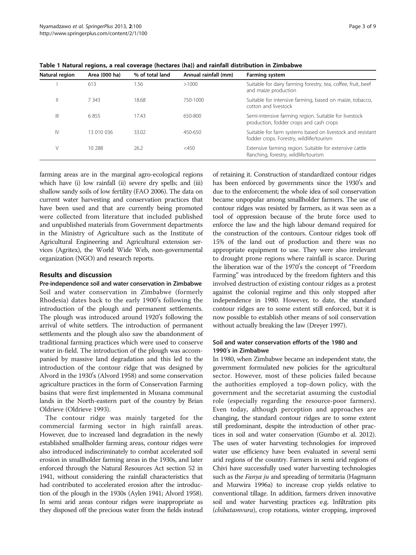| Natural region | Area (000 ha) | % of total land | Annual rainfall (mm) | <b>Farming system</b>                                                                                  |
|----------------|---------------|-----------------|----------------------|--------------------------------------------------------------------------------------------------------|
|                | 613           | 1.56            | >1000                | Suitable for dairy farming forestry, tea, coffee, fruit, beef<br>and maize production                  |
|                | 7 3 4 3       | 18.68           | 750-1000             | Suitable for intensive farming, based on maize, tobacco,<br>cotton and livestock                       |
| Ш              | 6855          | 17.43           | 650-800              | Semi-intensive farming region. Suitable for livestock<br>production, fodder crops and cash crops       |
| IV             | 13 010 036    | 33.02           | 450-650              | Suitable for farm systems based on livestock and resistant<br>fodder crops. Forestry, wildlife/tourism |
|                | 10 288        | 26.2            | $<$ 450              | Extensive farming region. Suitable for extensive cattle<br>Ranching, forestry, wildlife/tourism        |

<span id="page-2-0"></span>Table 1 Natural regions, a real coverage (hectares (ha)) and rainfall distribution in Zimbabwe

farming areas are in the marginal agro-ecological regions which have (i) low rainfall (ii) severe dry spells; and (iii) shallow sandy soils of low fertility (FAO [2006\)](#page-7-0). The data on current water harvesting and conservation practices that have been used and that are currently being promoted were collected from literature that included published and unpublished materials from Government departments in the Ministry of Agriculture such as the Institute of Agricultural Engineering and Agricultural extension services (Agritex), the World Wide Web, non-governmental organization (NGO) and research reports.

# Results and discussion

Pre-independence soil and water conservation in Zimbabwe Soil and water conservation in Zimbabwe (formerly Rhodesia) dates back to the early 1900's following the introduction of the plough and permanent settlements. The plough was introduced around 1920's following the arrival of white settlers. The introduction of permanent settlements and the plough also saw the abandonment of traditional farming practices which were used to conserve water in-field. The introduction of the plough was accompanied by massive land degradation and this led to the introduction of the contour ridge that was designed by Alvord in the 1930's (Alvord [1958](#page-7-0)) and some conservation agriculture practices in the form of Conservation Farming basins that were first implemented in Musana communal lands in the North-eastern part of the country by Brian Oldrieve (Oldrieve [1993](#page-8-0)).

The contour ridge was mainly targeted for the commercial farming sector in high rainfall areas. However, due to increased land degradation in the newly established smallholder farming areas, contour ridges were also introduced indiscriminately to combat accelerated soil erosion in smallholder farming areas in the 1930s, and later enforced through the Natural Resources Act section 52 in 1941, without considering the rainfall characteristics that had contributed to accelerated erosion after the introduction of the plough in the 1930s (Aylen [1941](#page-7-0); Alvord [1958](#page-7-0)). In semi arid areas contour ridges were inappropriate as they disposed off the precious water from the fields instead

of retaining it. Construction of standardized contour ridges has been enforced by governments since the 1930's and due to the enforcement; the whole idea of soil conservation became unpopular among smallholder farmers. The use of contour ridges was resisted by farmers, as it was seen as a tool of oppression because of the brute force used to enforce the law and the high labour demand required for the construction of the contours. Contour ridges took off 15% of the land out of production and there was no appropriate equipment to use. They were also irrelevant to drought prone regions where rainfall is scarce. During the liberation war of the 1970's the concept of "Freedom Farming" was introduced by the freedom fighters and this involved destruction of existing contour ridges as a protest against the colonial regime and this only stopped after independence in 1980. However, to date, the standard contour ridges are to some extent still enforced, but it is now possible to establish other means of soil conservation without actually breaking the law (Dreyer [1997\)](#page-7-0).

# Soil and water conservation efforts of the 1980 and 1990's in Zimbabwe

In 1980, when Zimbabwe became an independent state, the government formulated new policies for the agricultural sector. However, most of these policies failed because the authorities employed a top-down policy, with the government and the secretariat assuming the custodial role (especially regarding the resource-poor farmers). Even today, although perception and approaches are changing, the standard contour ridges are to some extent still predominant, despite the introduction of other practices in soil and water conservation (Gumbo et al. [2012](#page-7-0)). The uses of water harvesting technologies for improved water use efficiency have been evaluated in several semi arid regions of the country. Farmers in semi arid regions of Chivi have successfully used water harvesting technologies such as the *Fanya ju* and spreading of termitaria (Hagmann and Murwira [1996a](#page-7-0)) to increase crop yields relative to conventional tillage. In addition, farmers driven innovative soil and water harvesting practices e.g. Infiltration pits (chibatamvura), crop rotations, winter cropping, improved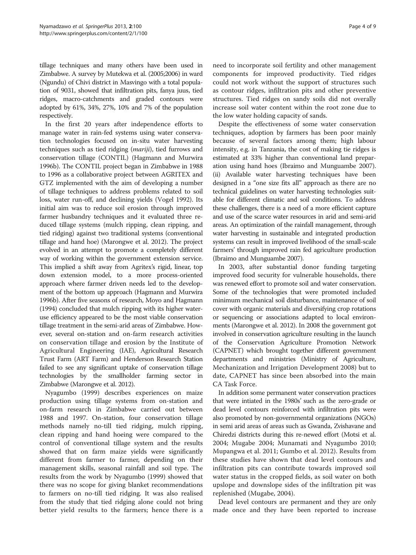tillage techniques and many others have been used in Zimbabwe. A survey by Mutekwa et al. [\(2005;2006](#page-7-0)) in ward (Ngundu) of Chivi district in Masvingo with a total population of 9031, showed that infiltration pits, fanya juus, tied ridges, macro-catchments and graded contours were adopted by 61%, 34%, 27%, 10% and 7% of the population respectively.

In the first 20 years after independence efforts to manage water in rain-fed systems using water conservation technologies focused on in-situ water harvesting techniques such as tied ridging (*mariji*), tied furrows and conservation tillage (CONTIL) (Hagmann and Murwira [1996b](#page-7-0)). The CONTIL project began in Zimbabwe in 1988 to 1996 as a collaborative project between AGRITEX and GTZ implemented with the aim of developing a number of tillage techniques to address problems related to soil loss, water run-off, and declining yields (Vogel [1992\)](#page-8-0). Its initial aim was to reduce soil erosion through improved farmer husbandry techniques and it evaluated three reduced tillage systems (mulch ripping, clean ripping, and tied ridging) against two traditional systems (conventional tillage and hand hoe) (Marongwe et al. [2012\)](#page-7-0). The project evolved in an attempt to promote a completely different way of working within the government extension service. This implied a shift away from Agritex's rigid, linear, top down extension model, to a more process-oriented approach where farmer driven needs led to the development of the bottom up approach (Hagmann and Murwira [1996b\)](#page-7-0). After five seasons of research, Moyo and Hagmann ([1994\)](#page-7-0) concluded that mulch ripping with its higher wateruse efficiency appeared to be the most viable conservation tillage treatment in the semi-arid areas of Zimbabwe. However, several on-station and on-farm research activities on conservation tillage and erosion by the Institute of Agricultural Engineering (IAE), Agricultural Research Trust Farm (ART Farm) and Henderson Research Station failed to see any significant uptake of conservation tillage technologies by the smallholder farming sector in Zimbabwe (Marongwe et al. [2012](#page-7-0)).

Nyagumbo ([1999](#page-7-0)) describes experiences on maize production using tillage systems from on-station and on-farm research in Zimbabwe carried out between 1988 and 1997. On-station, four conservation tillage methods namely no-till tied ridging, mulch ripping, clean ripping and hand hoeing were compared to the control of conventional tillage system and the results showed that on farm maize yields were significantly different from farmer to farmer, depending on their management skills, seasonal rainfall and soil type. The results from the work by Nyagumbo [\(1999\)](#page-7-0) showed that there was no scope for giving blanket recommendations to farmers on no-till tied ridging. It was also realised from the study that tied ridging alone could not bring better yield results to the farmers; hence there is a

need to incorporate soil fertility and other management components for improved productivity. Tied ridges could not work without the support of structures such as contour ridges, infiltration pits and other preventive structures. Tied ridges on sandy soils did not overally increase soil water content within the root zone due to the low water holding capacity of sands.

Despite the effectiveness of some water conservation techniques, adoption by farmers has been poor mainly because of several factors among them; high labour intensity, e.g. in Tanzania, the cost of making tie ridges is estimated at 33% higher than conventional land preparation using hand hoes (Ibraimo and Munguambe [2007](#page-7-0)). (ii) Available water harvesting techniques have been designed in a "one size fits all" approach as there are no technical guidelines on water harvesting technologies suitable for different climatic and soil conditions. To address these challenges, there is a need of a more efficient capture and use of the scarce water resources in arid and semi-arid areas. An optimization of the rainfall management, through water harvesting in sustainable and integrated production systems can result in improved livelihood of the small-scale farmers' through improved rain fed agriculture production (Ibraimo and Munguambe [2007](#page-7-0)).

In 2003, after substantial donor funding targeting improved food security for vulnerable households, there was renewed effort to promote soil and water conservation. Some of the technologies that were promoted included minimum mechanical soil disturbance, maintenance of soil cover with organic materials and diversifying crop rotations or sequencing or associations adapted to local environments (Marongwe et al. [2012](#page-7-0)). In 2008 the government got involved in conservation agriculture resulting in the launch of the Conservation Agriculture Promotion Network (CAPNET) which brought together different government departments and ministries (Ministry of Agriculture, Mechanization and Irrigation Development [2008\)](#page-7-0) but to date, CAPNET has since been absorbed into the main CA Task Force.

In addition some permanent water conservation practices that were intiated in the 1980s' such as the zero-grade or dead level contours reinforced with infiltration pits were also promoted by non-governmental organizations (NGOs) in semi arid areas of areas such as Gwanda, Zvishavane and Chiredzi districts during this re-newed effort (Motsi et al. [2004;](#page-7-0) Mugabe [2004](#page-7-0); Munamati and Nyagumbo [2010](#page-7-0); Mupangwa et al. [2011](#page-7-0); Gumbo et al. [2012\)](#page-7-0). Results from these studies have shown that dead level contours and infiltration pits can contribute towards improved soil water status in the cropped fields, as soil water on both upslope and downslope sides of the infiltration pit was replenished (Mugabe, [2004\)](#page-7-0).

Dead level contours are permanent and they are only made once and they have been reported to increase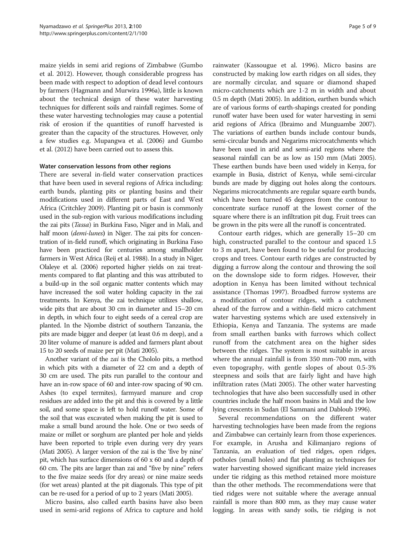maize yields in semi arid regions of Zimbabwe (Gumbo et al. [2012\)](#page-7-0). However, though considerable progress has been made with respect to adoption of dead level contours by farmers (Hagmann and Murwira [1996a\)](#page-7-0), little is known about the technical design of these water harvesting techniques for different soils and rainfall regimes. Some of these water harvesting technologies may cause a potential risk of erosion if the quantities of runoff harvested is greater than the capacity of the structures. However, only a few studies e.g. Mupangwa et al. [\(2006](#page-7-0)) and Gumbo et al. [\(2012\)](#page-7-0) have been carried out to assess this.

# Water conservation lessons from other regions

There are several in-field water conservation practices that have been used in several regions of Africa including: earth bunds, planting pits or planting basins and their modifications used in different parts of East and West Africa (Critchley [2009\)](#page-7-0). Planting pit or basin is commonly used in the sub-region with various modifications including the zai pits (Tassa) in Burkina Faso, Niger and in Mali, and half moon (*demi-lunes*) in Niger. The zai pits for concentration of in-field runoff, which originating in Burkina Faso have been practiced for centuries among smallholder farmers in West Africa (Reij et al. [1988](#page-8-0)). In a study in Niger, Olaleye et al. [\(2006](#page-8-0)) reported higher yields on zai treatments compared to flat planting and this was attributed to a build-up in the soil organic matter contents which may have increased the soil water holding capacity in the zai treatments. In Kenya, the zai technique utilizes shallow, wide pits that are about 30 cm in diameter and 15–20 cm in depth, in which four to eight seeds of a cereal crop are planted. In the Njombe district of southern Tanzania, the pits are made bigger and deeper (at least 0.6 m deep), and a 20 liter volume of manure is added and farmers plant about 15 to 20 seeds of maize per pit (Mati [2005\)](#page-7-0).

Another variant of the zai is the Chololo pits, a method in which pits with a diameter of 22 cm and a depth of 30 cm are used. The pits run parallel to the contour and have an in-row space of 60 and inter-row spacing of 90 cm. Ashes (to expel termites), farmyard manure and crop residues are added into the pit and this is covered by a little soil, and some space is left to hold runoff water. Some of the soil that was excavated when making the pit is used to make a small bund around the hole. One or two seeds of maize or millet or sorghum are planted per hole and yields have been reported to triple even during very dry years (Mati [2005](#page-7-0)). A larger version of the zai is the 'five by nine' pit, which has surface dimensions of 60 x 60 and a depth of 60 cm. The pits are larger than zai and "five by nine" refers to the five maize seeds (for dry areas) or nine maize seeds (for wet areas) planted at the pit diagonals. This type of pit can be re-used for a period of up to 2 years (Mati [2005](#page-7-0)).

Micro basins, also called earth basins have also been used in semi-arid regions of Africa to capture and hold

rainwater (Kassougue et al. [1996\)](#page-7-0). Micro basins are constructed by making low earth ridges on all sides, they are normally circular, and square or diamond shaped micro-catchments which are 1-2 m in width and about 0.5 m depth (Mati [2005\)](#page-7-0). In addition, earthen bunds which are of various forms of earth-shapings created for ponding runoff water have been used for water harvesting in semi arid regions of Africa (Ibraimo and Munguambe [2007](#page-7-0)). The variations of earthen bunds include contour bunds, semi-circular bunds and Negarims microcatchments which have been used in arid and semi-arid regions where the seasonal rainfall can be as low as 150 mm (Mati [2005](#page-7-0)). These earthen bunds have been used widely in Kenya, for example in Busia, district of Kenya, while semi-circular bunds are made by digging out holes along the contours. Negarims microcatchments are regular square earth bunds, which have been turned 45 degrees from the contour to concentrate surface runoff at the lowest corner of the square where there is an infiltration pit dug. Fruit trees can be grown in the pits were all the runoff is concentrated.

Contour earth ridges, which are generally 15–20 cm high, constructed parallel to the contour and spaced 1.5 to 3 m apart, have been found to be useful for producing crops and trees. Contour earth ridges are constructed by digging a furrow along the contour and throwing the soil on the downslope side to form ridges. However, their adoption in Kenya has been limited without technical assistance (Thomas [1997](#page-8-0)). Broadbed furrow systems are a modification of contour ridges, with a catchment ahead of the furrow and a within-field micro catchment water harvesting systems which are used extensively in Ethiopia, Kenya and Tanzania. The systems are made from small earthen banks with furrows which collect runoff from the catchment area on the higher sides between the ridges. The system is most suitable in areas where the annual rainfall is from 350 mm-700 mm, with even topography, with gentle slopes of about 0.5-3% steepness and soils that are fairly light and have high infiltration rates (Mati [2005\)](#page-7-0). The other water harvesting technologies that have also been successfully used in other countries include the half moon basins in Mali and the low lying crescents in Sudan (El Sammani and Dabloub [1996\)](#page-7-0).

Several recommendations on the different water harvesting technologies have been made from the regions and Zimbabwe can certainly learn from those experiences. For example, in Arusha and Kilimanjaro regions of Tanzania, an evaluation of tied ridges, open ridges, potholes (small holes) and flat planting as techniques for water harvesting showed significant maize yield increases under tie ridging as this method retained more moisture than the other methods. The recommendations were that tied ridges were not suitable where the average annual rainfall is more than 800 mm, as they may cause water logging. In areas with sandy soils, tie ridging is not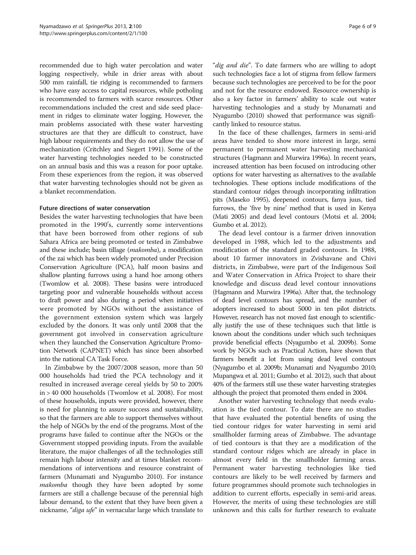recommended due to high water percolation and water logging respectively, while in drier areas with about 500 mm rainfall, tie ridging is recommended to farmers who have easy access to capital resources, while potholing is recommended to farmers with scarce resources. Other recommendations included the crest and side seed placement in ridges to eliminate water logging. However, the main problems associated with these water harvesting structures are that they are difficult to construct, have high labour requirements and they do not allow the use of mechanization (Critchley and Siegert [1991](#page-7-0)). Some of the water harvesting technologies needed to be constructed on an annual basis and this was a reason for poor uptake. From these experiences from the region, it was observed that water harvesting technologies should not be given as a blanket recommendation.

# Future directions of water conservation

Besides the water harvesting technologies that have been promoted in the 1990's, currently some interventions that have been borrowed from other regions of sub Sahara Africa are being promoted or tested in Zimbabwe and these include; basin tillage (makomba), a modification of the zai which has been widely promoted under Precision Conservation Agriculture (PCA), half moon basins and shallow planting furrows using a hand hoe among others (Twomlow et al. [2008](#page-8-0)). These basins were introduced targeting poor and vulnerable households without access to draft power and also during a period when initiatives were promoted by NGOs without the assistance of the government extension system which was largely excluded by the donors. It was only until 2008 that the government got involved in conservation agriculture when they launched the Conservation Agriculture Promotion Network (CAPNET) which has since been absorbed into the national CA Task Force.

In Zimbabwe by the 2007/2008 season, more than 50 000 households had tried the PCA technology and it resulted in increased average cereal yields by 50 to 200% in > 40 000 households (Twomlow et al. [2008\)](#page-8-0). For most of these households, inputs were provided, however, there is need for planning to assure success and sustainability, so that the farmers are able to support themselves without the help of NGOs by the end of the programs. Most of the programs have failed to continue after the NGOs or the Government stopped providing inputs. From the available literature, the major challenges of all the technologies still remain high labour intensity and at times blanket recommendations of interventions and resource constraint of farmers (Munamati and Nyagumbo [2010](#page-7-0)). For instance makomba though they have been adopted by some farmers are still a challenge because of the perennial high labour demand, to the extent that they have been given a nickname, "diga ufe" in vernacular large which translate to

"dig and die". To date farmers who are willing to adopt such technologies face a lot of stigma from fellow farmers because such technologies are perceived to be for the poor and not for the resource endowed. Resource ownership is also a key factor in farmers' ability to scale out water harvesting technologies and a study by Munamati and Nyagumbo [\(2010](#page-7-0)) showed that performance was significantly linked to resource status.

In the face of these challenges, farmers in semi-arid areas have tended to show more interest in large, semi permanent to permanent water harvesting mechanical structures (Hagmann and Murwira [1996a\)](#page-7-0). In recent years, increased attention has been focused on introducing other options for water harvesting as alternatives to the available technologies. These options include modifications of the standard contour ridges through incorporating infiltration pits (Maseko [1995](#page-7-0)), deepened contours, fanya juus, tied furrows, the 'five by nine' method that is used in Kenya (Mati [2005\)](#page-7-0) and dead level contours (Motsi et al. [2004](#page-7-0); Gumbo et al. [2012\)](#page-7-0).

The dead level contour is a farmer driven innovation developed in 1988, which led to the adjustments and modification of the standard graded contours. In 1988, about 10 farmer innovators in Zvishavane and Chivi districts, in Zimbabwe, were part of the Indigenous Soil and Water Conservation in Africa Project to share their knowledge and discuss dead level contour innovations (Hagmann and Murwira [1996a\)](#page-7-0). After that, the technology of dead level contours has spread, and the number of adopters increased to about 5000 in ten pilot districts. However, research has not moved fast enough to scientifically justify the use of these techniques such that little is known about the conditions under which such techniques provide beneficial effects (Nyagumbo et al. [2009b](#page-8-0)). Some work by NGOs such as Practical Action, have shown that farmers benefit a lot from using dead level contours (Nyagumbo et al. [2009b;](#page-8-0) Munamati and Nyagumbo [2010](#page-7-0); Mupangwa et al. [2011;](#page-7-0) Gumbo et al. [2012](#page-7-0)), such that about 40% of the farmers still use these water harvesting strategies although the project that promoted them ended in 2004.

Another water harvesting technology that needs evaluation is the tied contour. To date there are no studies that have evaluated the potential benefits of using the tied contour ridges for water harvesting in semi arid smallholder farming areas of Zimbabwe. The advantage of tied contours is that they are a modification of the standard contour ridges which are already in place in almost every field in the smallholder farming areas. Permanent water harvesting technologies like tied contours are likely to be well received by farmers and future programmes should promote such technologies in addition to current efforts, especially in semi-arid areas. However, the merits of using these technologies are still unknown and this calls for further research to evaluate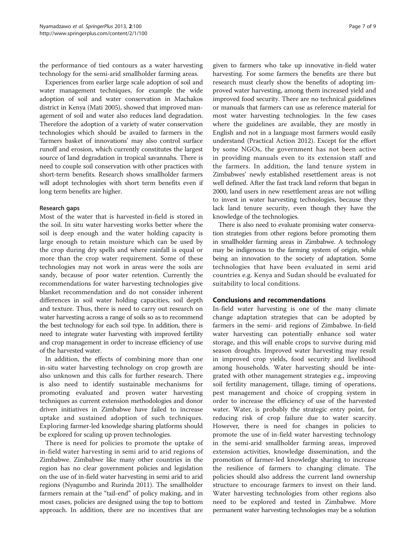the performance of tied contours as a water harvesting technology for the semi-arid smallholder farming areas.

Experiences from earlier large scale adoption of soil and water management techniques, for example the wide adoption of soil and water conservation in Machakos district in Kenya (Mati [2005](#page-7-0)), showed that improved management of soil and water also reduces land degradation. Therefore the adoption of a variety of water conservation technologies which should be availed to farmers in the 'farmers basket of innovations' may also control surface runoff and erosion, which currently constitutes the largest source of land degradation in tropical savannahs. There is need to couple soil conservation with other practices with short-term benefits. Research shows smallholder farmers will adopt technologies with short term benefits even if long term benefits are higher.

# Research gaps

Most of the water that is harvested in-field is stored in the soil. In situ water harvesting works better where the soil is deep enough and the water holding capacity is large enough to retain moisture which can be used by the crop during dry spells and where rainfall is equal or more than the crop water requirement. Some of these technologies may not work in areas were the soils are sandy, because of poor water retention. Currently the recommendations for water harvesting technologies give blanket recommendation and do not consider inherent differences in soil water holding capacities, soil depth and texture. Thus, there is need to carry out research on water harvesting across a range of soils so as to recommend the best technology for each soil type. In addition, there is need to integrate water harvesting with improved fertility and crop management in order to increase efficiency of use of the harvested water.

In addition, the effects of combining more than one in-situ water harvesting technology on crop growth are also unknown and this calls for further research. There is also need to identify sustainable mechanisms for promoting evaluated and proven water harvesting techniques as current extension methodologies and donor driven initiatives in Zimbabwe have failed to increase uptake and sustained adoption of such techniques. Exploring farmer-led knowledge sharing platforms should be explored for scaling up proven technologies.

There is need for policies to promote the uptake of in-field water harvesting in semi arid to arid regions of Zimbabwe. Zimbabwe like many other countries in the region has no clear government policies and legislation on the use of in-field water harvesting in semi arid to arid regions (Nyagumbo and Rurinda [2011\)](#page-7-0). The smallholder farmers remain at the "tail-end" of policy making, and in most cases, policies are designed using the top to bottom approach. In addition, there are no incentives that are

given to farmers who take up innovative in-field water harvesting. For some farmers the benefits are there but research must clearly show the benefits of adopting improved water harvesting, among them increased yield and improved food security. There are no technical guidelines or manuals that farmers can use as reference material for most water harvesting technologies. In the few cases where the guidelines are available, they are mostly in English and not in a language most farmers would easily understand (Practical Action [2012\)](#page-8-0). Except for the effort by some NGOs, the government has not been active in providing manuals even to its extension staff and the farmers. In addition, the land tenure system in Zimbabwes' newly established resettlement areas is not well defined. After the fast track land reform that began in 2000, land users in new resettlement areas are not willing to invest in water harvesting technologies, because they lack land tenure security, even though they have the knowledge of the technologies.

There is also need to evaluate promising water conservation strategies from other regions before promoting them in smallholder farming areas in Zimbabwe. A technology may be indigenous to the farming system of origin, while being an innovation to the society of adaptation. Some technologies that have been evaluated in semi arid countries e.g. Kenya and Sudan should be evaluated for suitability to local conditions.

#### Conclusions and recommendations

In-field water harvesting is one of the many climate change adaptation strategies that can be adopted by farmers in the semi- arid regions of Zimbabwe. In-field water harvesting can potentially enhance soil water storage, and this will enable crops to survive during mid season droughts. Improved water harvesting may result in improved crop yields, food security and livelihood among households. Water harvesting should be integrated with other management strategies e.g., improving soil fertility management, tillage, timing of operations, pest management and choice of cropping system in order to increase the efficiency of use of the harvested water. Water, is probably the strategic entry point, for reducing risk of crop failure due to water scarcity. However, there is need for changes in policies to promote the use of in-field water harvesting technology in the semi-arid smallholder farming areas, improved extension activities, knowledge dissemination, and the promotion of farmer-led knowledge sharing to increase the resilience of farmers to changing climate. The policies should also address the current land ownership structure to encourage farmers to invest on their land. Water harvesting technologies from other regions also need to be explored and tested in Zimbabwe. More permanent water harvesting technologies may be a solution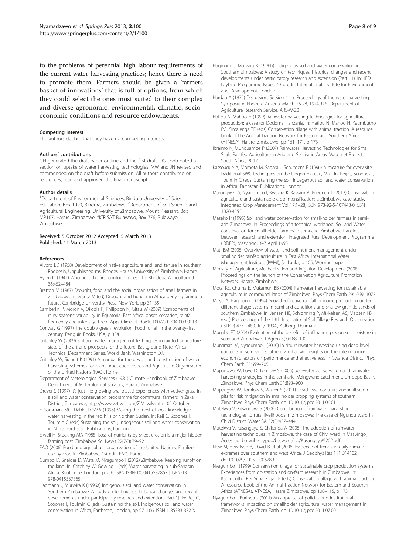<span id="page-7-0"></span>to the problems of perennial high labour requirements of the current water harvesting practices; hence there is need to promote them. Farmers should be given a 'farmers basket of innovations' that is full of options, from which they could select the ones most suited to their complex and diverse agronomic, environmental, climatic, socioeconomic conditions and resource endowments.

#### Competing interest

The authors declare that they have no competing interests.

#### Authors' contributions

GN generated the draft paper outline and the first draft, DG contributed a section on uptake of water harvesting technologies, MW and JN revised and commended on the draft before submission. All authors contributed on references, read and approved the final manuscript.

#### Author details

<sup>1</sup>Department of Environmental Sciences, Bindura University of Science Education, Box 1020, Bindura, Zimbabwe. <sup>2</sup>Department of Soil Science and Agricultural Engineering, University of Zimbabwe, Mount Pleasant, Box MP167, Harare, Zimbabwe. <sup>3</sup>ICRISAT Bulawayo, Box 776, Bulawayo, Zimbabwe.

#### Received: 5 October 2012 Accepted: 5 March 2013 Published: 11 March 2013

#### References

- Alvord ED (1958) Development of native agriculture and land tenure in southern Rhodesia, Unpublished ms. Rhodes House, University of Zimbabwe, Harare Aylen D (1941) Who built the first contour ridges. The Rhodesia Agricultural J
- 36:452–484 Bratton M (1987) Drought, food and the social organisation of small farmers in Zimbabwe. In: Glantz M (ed) Drought and hunger in Africa denying famine a
- future. Cambridge University Press, New York, pp 31–35 Camberlin P, Moron V, Okoola R, Philippon N, Gitau W (2009) Components of
- rainy seasons' variability in Equatorial East Africa: onset, cessation, rainfall frequency and intensity. Theor Appl Climatol. doi[:10.1007/s00704-009-0113-1](http://dx.doi.org/10.1007/s00704-009-0113-1)
- Conway G (1997) The doubly green revolution. Food for all in the twenty-first century. Penguin Books, USA, p 334
- Critchley W (2009) Soil and water management techniques in rainfed agriculture: state of the art and prospects for the future. Background Note. Africa Technical Department Series. World Bank, Washington D.C
- Critchley W, Siegert K (1991) A manual for the design and construction of water harvesting schemes for plant production. Food and Agriculture Organization of the United Nations (FAO), Rome
- Department of Meterological Services (1981) Climate Handbook of Zimbabwe. Department of Meterological Services, Harare, Zimbabwe
- Dreyer S (1997) It's just like growing shallots...! Experiences with vetiver grass in a soil and water conservation programme for communal farmers in Zaka District., Zimbabwe, [http://www.vetiver.com/ZIM\\_zaka.htm.](http://www.vetiver.com/ZIM_zaka.htm) 02 October
- El Sammani MO, Dabloub SMA (1996) Making the most of local knowledge: water harvesting in the red hills of Northen Sudan. In: Reij C, Scoones I, Toulmin C (eds) Sustaining the soil; Indegenous soil and water conservation in Africa. Earthscan Publications, London
- Elwell H, Stocking MA (1988) Loss of nutrients by sheet erosion is a major hidden farming cost. Zimbabwe Sci News 22(7/8):79–92
- FAO (2006) Food and agriculture organization of the United Nations. Fertilizer use by crop in Zimbabwe, 1st edn. FAO, Rome
- Gumbo D, Snelder D, Wuta M, Nyagumbo I (2012) Zimbabwe: Keeping runoff on the land. In: Critchley W, Gowing J (eds) Water harvesting in sub-Saharan Africa. Routledge, London, p 256. ISBN ISBN-10: 041553786X | ISBN-13: 978-0415537865
- Hagmann J, Murwira K (1996a) Indigenous soil and water conservation in Southern Zimbabwe: A study on techniques, historical changes and recent developments under participatory research and extension (Part 1). In: Reij C, Scoones I, Toulmin C (eds) Sustaining the soil. Indigenous soil and water conservation in Africa, Earthscan, London, pp 97–106. ISBN 1 85383 372 X
- Hagmann J, Murwira K (1996b) Indigenous soil and water conservation in Southern Zimbabwe: A study on techniques, historical changes and recent developments under participatory research and extension (Part 11). In: IIED Dryland Programme Issues, 63rd edn. International Institute for Environment and Development, London
- Hardan A (1975) Discussion: Session 1. In: Proceedings of the water harvesting Symposium, Phoenix, Arizona, March 26-28, 1974. U.S. Department of Agriculture Research Service, ARS-W-22
- Hatibu N, Mahoo H (1999) Rainwater harvesting technologies for agricultural production: a case for Dodoma, Tanzania. In: Hatibu N, Mahoo H, Kaumbutho PG, Simalenga TE (eds) Conservation tillage with animal traction. A resource book of the Animal Traction Network for Eastern and Southern Africa (ATNESA), Harare. Zimbabwe, pp 161–171, p 173
- Ibraimo N, Munguambe P (2007) Rainwater Harvesting Technologies for Small Scale Rainfed Agriculture in Arid and Semi-arid Areas. Waternet Project, South Africa, PC17
- Kassougue A, Momota M, Sagara J, Schutgens F (1996) A measure for every site: traditional SWC techniques on the Dogon plateau, Mali. In: Reij C, Scoones I, Toulmin C (eds) Sustaining the soil; Indegenous soil and water conservation in Africa. Earthscan Publications, London
- Marongwe LS, Nyagumbo I, Kwazira K, Kassam A, Friedrich T (2012) Conservation agriculture and sustainable crop intensification: a Zimbabwe case study. Integrated Crop Management Vol 17:1–28, ISBN 978-92-5-107448-0 ISSN 1020-4555
- Maseko P (1995) Soil and water conservation for small-holder farmers in semiarid Zimbabwe. In: Proceedings of a technical workshop, Soil and Water conservation for smallholder farmers in semi-arid Zimbabwe-transfers between research and extension. Integrated Rural Development Programme (IRDEP), Masvingo, 3–7 April 1995
- Mati BM (2005) Overview of water and soil nutrient management under smallholder rainfed agriculture in East Africa. International Water Management Institute (IWMI), Sri Lanka, p 105, Working paper
- Ministry of Agriculture, Mechanization and Irrigation Development (2008) Proceedings on the launch of the Conservation Agriculture Promotion Network. Harare, Zimbabwe
- Motsi KE, Chuma E, Mukamuri BB (2004) Rainwater harvesting for sustainable agriculture in communal lands of Zimbabwe. Phys Chem Earth 29:1069–1073
- Moyo A, Hagmann J (1994) Growth-effective rainfall in maize production under different tillage systems in semi-arid conditions and shallow granitic sands of southern Zimbabwe. In: Jensen HE, Schjonning P, Mikkelsen AS, Madsen KB (eds) Proceedings of the 13th International Soil Tillage Research Organization (ISTRO) 475 –480, July, 1994., Aalborg, Denmark
- Mugabe FT (2004) Evaluation of the benefits of infiltration pits on soil moisture in semi-arid Zimbabwe. J Agron 3(3):188–190
- Munamati M, Nyagumbo I (2010) In situ rainwater harvesting using dead level contours in semi-arid southern Zimbabwe: Insights on the role of socioeconomic factors on performance and effectiveness in Gwanda District. Phys Chem Earth 35:699–705
- Mupangwa W, Love D, Tomlow S (2006) Soil-water conservation and rainwater harvesting strategies in the semi-arid Mzingwane catchment, Limpopo Basin, Zimbabwe. Phys Chem Earth 31:893–900
- Mupangwa W, Tomlow S, Walker S (2011) Dead level contours and infiltration pits for risk mitigation in smallholder cropping systems of southern Zimbabwe. Phys Chem Earth. doi:[10.1016/j.pce.2011.06.011](http://dx.doi.org/10.1016/j.pce.2011.06.011)
- Mutekwa V, Kusangaya S (2006) Contribution of rainwater harvesting technologies to rural livelihoods in Zimbabwe: The case of Ngundu ward in Chivi District. Water SA 32(3):437–444
- Mutekwa V, Kusangaya S, Chikanda A (2005) The adoption of rainwater harvesting techniques in Zimbabwe, the case of Chivi ward in Masvingo., Accessed: bscw.ihe.nl/pub/bscw.cgi/.../Kusangaya%202.pdf
- New M, Hewitson B, David B et al (2006) Evidence of trends in daily climate extremes over southern and west Africa. J Geophys Res 111:D14102. doi[:10.1029/2005JD006289](http://dx.doi.org/10.1029/2005JD006289)
- Nyagumbo I (1999) Conservation tillage for sustainable crop production systems: Experiences from on-station and on-farm research in Zimbabwe. In: Kaumbutho PG, Simalenga TE (eds) Conservation tillage with animal traction. A resource book of the Animal Traction Network for Eastern and Southern Africa (ATNESA). ATNESA, Harare Zimbabwe, pp 108–115, p 173
- Nyagumbo I, Rurinda J (2011) An appraisal of policies and institutional frameworks impacting on smallholder agricultural water management in Zimbabwe. Phys Chem Earth. doi:[10.1016/j.pce.2011.07.001](http://dx.doi.org/10.1016/j.pce.2011.07.001)